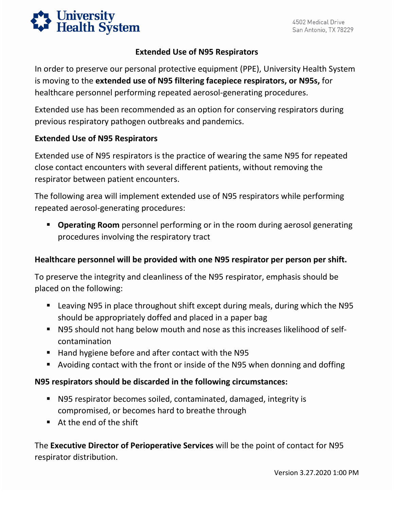

## **Extended Use of N95 Respirators**

In order to preserve our personal protective equipment (PPE), University Health System is moving to the **extended use of N95 filtering facepiece respirators, or N95s,** for healthcare personnel performing repeated aerosol-generating procedures.

Extended use has been recommended as an option for conserving respirators during previous respiratory pathogen outbreaks and pandemics.

## **Extended Use of N95 Respirators**

Extended use of N95 respirators is the practice of wearing the same N95 for repeated close contact encounters with several different patients, without removing the respirator between patient encounters.

 The following area will implement extended use of N95 respirators while performing repeated aerosol-generating procedures:

 **Operating Room** personnel performing or in the room during aerosol generating procedures involving the respiratory tract

## **Healthcare personnel will be provided with one N95 respirator per person per shift.**

 To preserve the integrity and cleanliness of the N95 respirator, emphasis should be placed on the following:

- Leaving N95 in place throughout shift except during meals, during which the N95 should be appropriately doffed and placed in a paper bag
- N95 should not hang below mouth and nose as this increases likelihood of selfcontamination
- $\blacksquare$  Hand hygiene before and after contact with the N95
- Avoiding contact with the front or inside of the N95 when donning and doffing

## **N95 respirators should be discarded in the following circumstances:**

- N95 respirator becomes soiled, contaminated, damaged, integrity is compromised, or becomes hard to breathe through
- At the end of the shift

 respirator distribution. The **Executive Director of Perioperative Services** will be the point of contact for N95